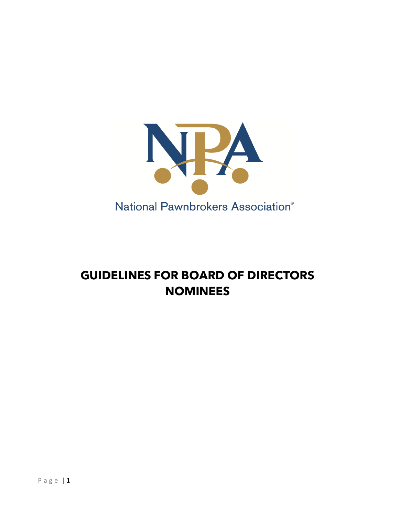

## **GUIDELINES FOR BOARD OF DIRECTORS NOMINEES**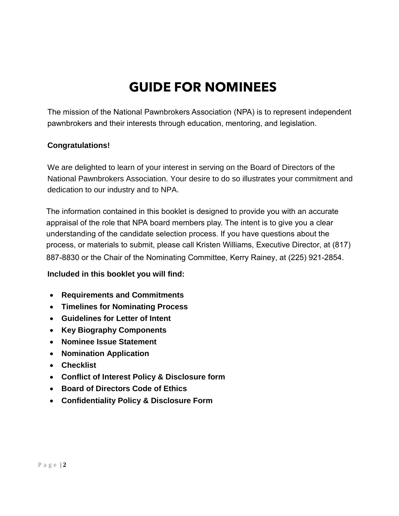## **GUIDE FOR NOMINEES**

The mission of the National Pawnbrokers Association (NPA) is to represent independent pawnbrokers and their interests through education, mentoring, and legislation.

#### **Congratulations!**

We are delighted to learn of your interest in serving on the Board of Directors of the National Pawnbrokers Association. Your desire to do so illustrates your commitment and dedication to our industry and to NPA.

 appraisal of the role that NPA board members play. The intent is to give you a clear 887-8830 or the Chair of the Nominating Committee, Kerry Rainey, at (225) 921-2854. The information contained in this booklet is designed to provide you with an accurate understanding of the candidate selection process. If you have questions about the process, or materials to submit, please call Kristen Williams, Executive Director, at (817)

#### **Included in this booklet you will find:**

- **Requirements and Commitments**
- **Timelines for Nominating Process**
- **Guidelines for Letter of Intent**
- **Key Biography Components**
- **Nominee Issue Statement**
- **Nomination Application**
- **Checklist**
- **Conflict of Interest Policy & Disclosure form**
- **Board of Directors Code of Ethics**
- **Confidentiality Policy & Disclosure Form**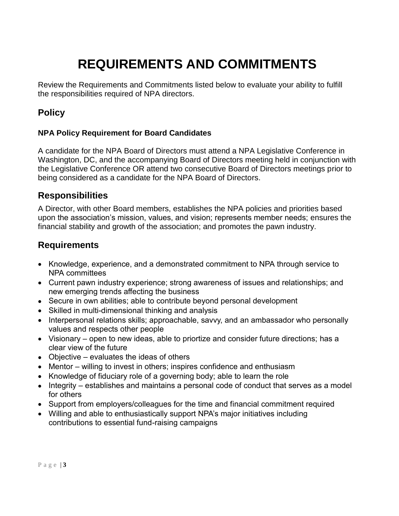# **REQUIREMENTS AND COMMITMENTS**

Review the Requirements and Commitments listed below to evaluate your ability to fulfill the responsibilities required of NPA directors.

## **Policy**

#### **NPA Policy Requirement for Board Candidates**

A candidate for the NPA Board of Directors must attend a NPA Legislative Conference in Washington, DC, and the accompanying Board of Directors meeting held in conjunction with the Legislative Conference OR attend two consecutive Board of Directors meetings prior to being considered as a candidate for the NPA Board of Directors.

#### **Responsibilities**

A Director, with other Board members, establishes the NPA policies and priorities based upon the association's mission, values, and vision; represents member needs; ensures the financial stability and growth of the association; and promotes the pawn industry.

#### **Requirements**

- Knowledge, experience, and a demonstrated commitment to NPA through service to NPA committees
- Current pawn industry experience; strong awareness of issues and relationships; and new emerging trends affecting the business
- Secure in own abilities; able to contribute beyond personal development
- Skilled in multi-dimensional thinking and analysis
- Interpersonal relations skills; approachable, savvy, and an ambassador who personally values and respects other people
- Visionary open to new ideas, able to priortize and consider future directions; has a clear view of the future
- Objective evaluates the ideas of others
- Mentor willing to invest in others; inspires confidence and enthusiasm
- Knowledge of fiduciary role of a governing body; able to learn the role
- Integrity establishes and maintains a personal code of conduct that serves as a model for others
- Support from employers/colleagues for the time and financial commitment required
- Willing and able to enthusiastically support NPA's major initiatives including contributions to essential fund-raising campaigns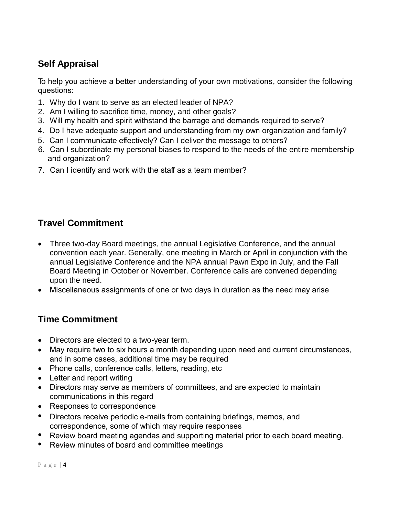## **Self Appraisal**

 To help you achieve a better understanding of your own motivations, consider the following questions:

- 1. Why do I want to serve as an elected leader of NPA?
- 2. Am I willing to sacrifice time, money, and other goals?
- 3. Will my health and spirit withstand the barrage and demands required to serve?
- 4. Do I have adequate support and understanding from my own organization and family?
- 5. Can I communicate effectively? Can I deliver the message to others?
- 6. Can I subordinate my personal biases to respond to the needs of the entire membership and organization?
- $\overline{\phantom{0}}$ 7. Can I identify and work with the staff as a team member?

## **Travel Commitment**

- Three two-day Board meetings, the annual Legislative Conference, and the annual convention each year. Generally, one meeting in March or April in conjunction with the annual Legislative Conference and the NPA annual Pawn Expo in July, and the Fall Board Meeting in October or November. Conference calls are convened depending upon the need.
- ! Miscellaneous assignments of one or two days in duration as the need may arise

### **Time Commitment**

- Directors are elected to a two-year term.
- May require two to six hours a month depending upon need and current circumstances, and in some cases, additional time may be required
- Phone calls, conference calls, letters, reading, etc
- Letter and report writing
- Directors may serve as members of committees, and are expected to maintain communications in this regard
- Responses to correspondence
- Directors receive periodic e-mails from containing briefings, memos, and correspondence, some of which may require responses
- Review board meeting agendas and supporting material prior to each board meeting.
- Review minutes of board and committee meetings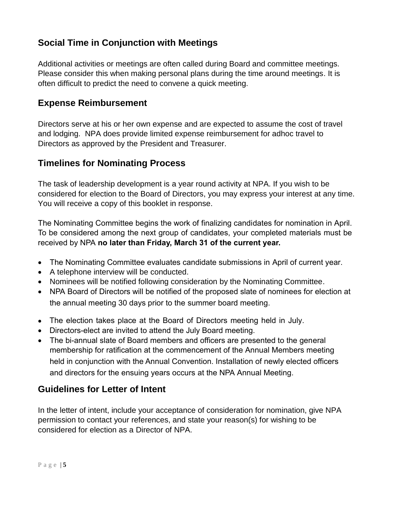### **Social Time in Conjunction with Meetings**

Additional activities or meetings are often called during Board and committee meetings. Please consider this when making personal plans during the time around meetings. It is often difficult to predict the need to convene a quick meeting.

#### **Expense Reimbursement**

Directors serve at his or her own expense and are expected to assume the cost of travel and lodging. NPA does provide limited expense reimbursement for adhoc travel to Directors as approved by the President and Treasurer.

### **Timelines for Nominating Process**

The task of leadership development is a year round activity at NPA. If you wish to be considered for election to the Board of Directors, you may express your interest at any time. You will receive a copy of this booklet in response.

 To be considered among the next group of candidates, your completed materials must be The Nominating Committee begins the work of finalizing candidates for nomination in April. received by NPA **no later than Friday, March 31 of the current year.** 

- The Nominating Committee evaluates candidate submissions in April of current year.
- A telephone interview will be conducted.
- Nominees will be notified following consideration by the Nominating Committee.
- NPA Board of Directors will be notified of the proposed slate of nominees for election at the annual meeting 30 days prior to the summer board meeting.
- The election takes place at the Board of Directors meeting held in July.
- Directors-elect are invited to attend the July Board meeting.
- The bi-annual slate of Board members and officers are presented to the general membership for ratification at the commencement of the Annual Members meeting held in conjunction with the Annual Convention. Installation of newly elected officers and directors for the ensuing years occurs at the NPA Annual Meeting.

### **Guidelines for Letter of Intent**

In the letter of intent, include your acceptance of consideration for nomination, give NPA permission to contact your references, and state your reason(s) for wishing to be considered for election as a Director of NPA.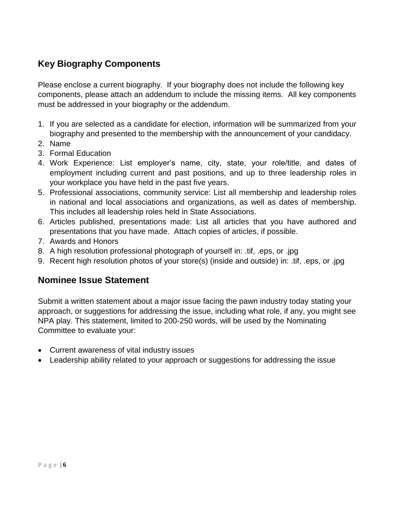## **Key Biography Components**

Please enclose a current biography. If your biography does not include the following key components, please attach an addendum to include the missing items. All key components must be addressed in your biography or the addendum.

- 1. If you are selected as a candidate for election, information will be summarized from your biography and presented to the membership with the announcement of your candidacy.
- 2. Name
- 3. Formal Education
- 4. Work Experience: List employer's name, city, state, your role/title, and dates of employment including current and past positions, and up to three leadership roles in your workplace you have held in the past five years.
- 5. Professional associations, community service: List all membership and leadership roles in national and local associations and organizations, as well as dates of membership. This includes all leadership roles held in State Associations.
- 6. Articles published, presentations made: List all articles that you have authored and presentations that you have made. Attach copies of articles, if possible.
- 7. Awards and Honors
- 8. A high resolution professional photograph of yourself in: .tif, .eps, or .jpg
- 9. Recent high resolution photos of your store(s) (inside and outside) in: .tif, .eps, or .jpg

#### **Nominee Issue Statement**

Submit a written statement about a major issue facing the pawn industry today stating your approach, or suggestions for addressing the issue, including what role, if any, you might see NPA play. This statement, limited to 200-250 words, will be used by the Nominating Committee to evaluate your:

- Current awareness of vital industry issues
- Leadership ability related to your approach or suggestions for addressing the issue